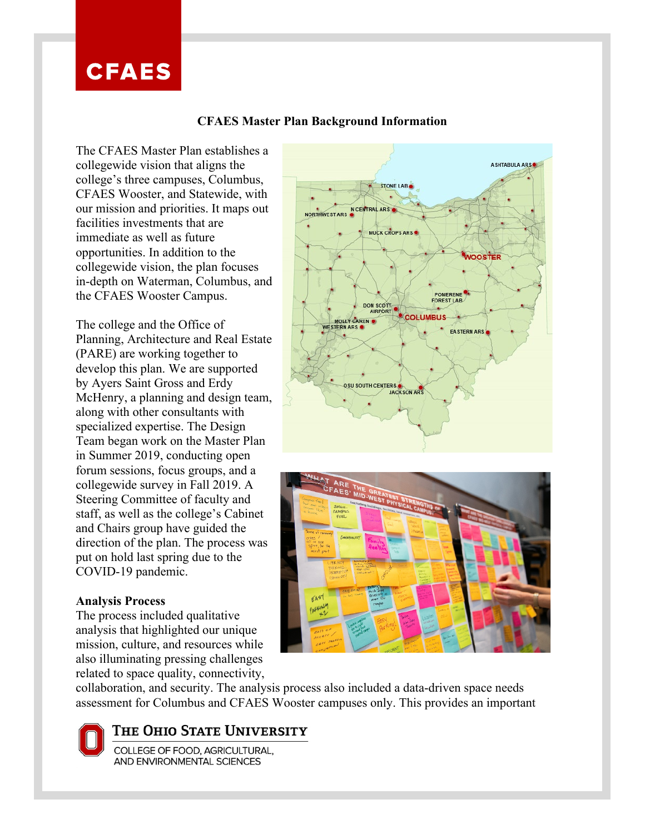## **CFAES**

## **CFAES Master Plan Background Information**

The CFAES Master Plan establishes a collegewide vision that aligns the college's three campuses, Columbus, CFAES Wooster, and Statewide, with our mission and priorities. It maps out facilities investments that are immediate as well as future opportunities. In addition to the collegewide vision, the plan focuses in-depth on Waterman, Columbus, and the CFAES Wooster Campus.

 $\overline{\phantom{a}}$ 

The college and the Office of Planning, Architecture and Real Estate (PARE) are working together to develop this plan. We are supported by Ayers Saint Gross and Erdy McHenry, a planning and design team, along with other consultants with specialized expertise. The Design Team began work on the Master Plan in Summer 2019, conducting open forum sessions, focus groups, and a collegewide survey in Fall 2019. A Steering Committee of faculty and staff, as well as the college's Cabinet and Chairs group have guided the direction of the plan. The process was put on hold last spring due to the COVID-19 pandemic.

## **Analysis Process**

The process included qualitative analysis that highlighted our unique mission, culture, and resources while also illuminating pressing challenges related to space quality, connectivity,





collaboration, and security. The analysis process also included a data-driven space needs assessment for Columbus and CFAES Wooster campuses only. This provides an important

THE OHIO STATE UNIVERSITY

COLLEGE OF FOOD, AGRICULTURAL, AND ENVIRONMENTAL SCIENCES